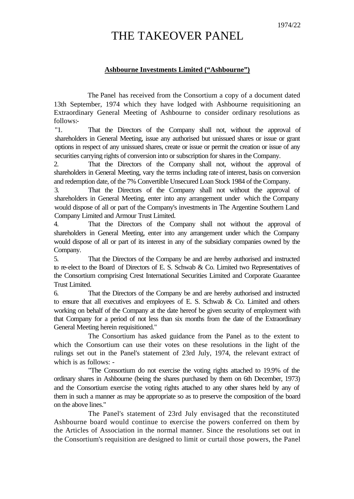## THE TAKEOVER PANEL

## **Ashbourne Investments Limited ("Ashbourne")**

The Panel has received from the Consortium a copy of a document dated 13th September, 1974 which they have lodged with Ashbourne requisitioning an Extraordinary General Meeting of Ashbourne to consider ordinary resolutions as follows:-

"1. That the Directors of the Company shall not, without the approval of shareholders in General Meeting, issue any authorised but unissued shares or issue or grant options in respect of any unissued shares, create or issue or permit the creation or issue of any securities carrying rights of conversion into or subscription for shares in the Company.

2. That the Directors of the Company shall not, without the approval of shareholders in General Meeting, vary the terms including rate of interest, basis on conversion and redemption date, of the 7% Convertible Unsecured Loan Stock 1984 of the Company.

3. That the Directors of the Company shall not without the approval of shareholders in General Meeting, enter into any arrangement under which the Company would dispose of all or part of the Company's investments in The Argentine Southern Land Company Limited and Armour Trust Limited.

4. That the Directors of the Company shall not without the approval of shareholders in General Meeting, enter into any arrangement under which the Company would dispose of all or part of its interest in any of the subsidiary companies owned by the Company.

5. That the Directors of the Company be and are hereby authorised and instructed to re-elect to the Board of Directors of E. S. Schwab & Co. Limited two Representatives of the Consortium comprising Crest International Securities Limited and Corporate Guarantee Trust Limited.

6. That the Directors of the Company be and are hereby authorised and instructed to ensure that all executives and employees of E. S. Schwab & Co. Limited and others working on behalf of the Company at the date hereof be given security of employment with that Company for a period of not less than six months from the date of the Extraordinary General Meeting herein requisitioned."

The Consortium has asked guidance from the Panel as to the extent to which the Consortium can use their votes on these resolutions in the light of the rulings set out in the Panel's statement of 23rd July, 1974, the relevant extract of which is as follows: -

"The Consortium do not exercise the voting rights attached to 19.9% of the ordinary shares in Ashbourne (being the shares purchased by them on 6th December, 1973) and the Consortium exercise the voting rights attached to any other shares held by any of them in such a manner as may be appropriate so as to preserve the composition of the board on the above lines."

The Panel's statement of 23rd July envisaged that the reconstituted Ashbourne board would continue to exercise the powers conferred on them by the Articles of Association in the normal manner. Since the resolutions set out in the Consortium's requisition are designed to limit or curtail those powers, the Panel